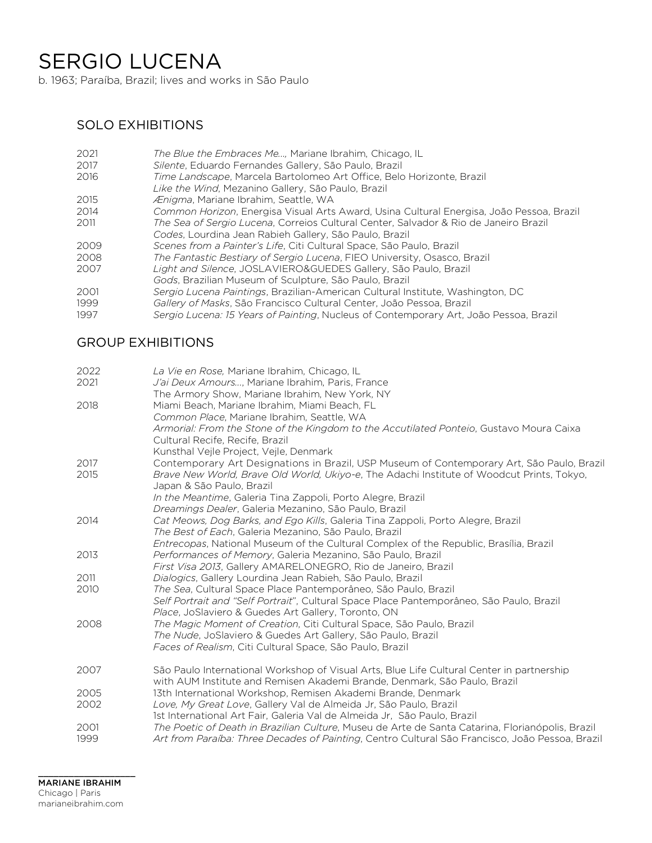# SERGIO LUCENA

b. 1963; Paraíba, Brazil; lives and works in São Paulo

## SOLO EXHIBITIONS

| The Blue the Embraces Me, Mariane Ibrahim, Chicago, IL                                   |
|------------------------------------------------------------------------------------------|
| Silente, Eduardo Fernandes Gallery, São Paulo, Brazil                                    |
| Time Landscape, Marcela Bartolomeo Art Office, Belo Horizonte, Brazil                    |
| Like the Wind, Mezanino Gallery, São Paulo, Brazil                                       |
| Ænigma, Mariane Ibrahim, Seattle, WA                                                     |
| Common Horizon, Energisa Visual Arts Award, Usina Cultural Energisa, João Pessoa, Brazil |
| The Sea of Sergio Lucena, Correios Cultural Center, Salvador & Rio de Janeiro Brazil     |
| Codes, Lourdina Jean Rabieh Gallery, São Paulo, Brazil                                   |
| Scenes from a Painter's Life, Citi Cultural Space, São Paulo, Brazil                     |
| The Fantastic Bestiary of Sergio Lucena, FIEO University, Osasco, Brazil                 |
| Light and Silence, JOSLAVIERO&GUEDES Gallery, São Paulo, Brazil                          |
| Gods, Brazilian Museum of Sculpture, São Paulo, Brazil                                   |
| Sergio Lucena Paintings, Brazilian-American Cultural Institute, Washington, DC           |
| Gallery of Masks, São Francisco Cultural Center, João Pessoa, Brazil                     |
| Sergio Lucena: 15 Years of Painting, Nucleus of Contemporary Art, João Pessoa, Brazil    |
|                                                                                          |

## GROUP EXHIBITIONS

| 2022 | La Vie en Rose, Mariane Ibrahim, Chicago, IL                                                                               |
|------|----------------------------------------------------------------------------------------------------------------------------|
| 2021 | J'ai Deux Amours, Mariane Ibrahim, Paris, France                                                                           |
|      | The Armory Show, Mariane Ibrahim, New York, NY                                                                             |
| 2018 | Miami Beach, Mariane Ibrahim, Miami Beach, FL                                                                              |
|      | Common Place, Mariane Ibrahim, Seattle, WA                                                                                 |
|      | Armorial: From the Stone of the Kingdom to the Accutilated Ponteio, Gustavo Moura Caixa<br>Cultural Recife, Recife, Brazil |
|      | Kunsthal Vejle Project, Vejle, Denmark                                                                                     |
| 2017 | Contemporary Art Designations in Brazil, USP Museum of Contemporary Art, São Paulo, Brazil                                 |
| 2015 | Brave New World, Brave Old World, Ukiyo-e, The Adachi Institute of Woodcut Prints, Tokyo,<br>Japan & São Paulo, Brazil     |
|      | In the Meantime, Galeria Tina Zappoli, Porto Alegre, Brazil                                                                |
|      | Dreamings Dealer, Galeria Mezanino, São Paulo, Brazil                                                                      |
| 2014 | Cat Meows, Dog Barks, and Ego Kills, Galeria Tina Zappoli, Porto Alegre, Brazil                                            |
|      | The Best of Each, Galeria Mezanino, São Paulo, Brazil                                                                      |
|      | Entrecopas, National Museum of the Cultural Complex of the Republic, Brasília, Brazil                                      |
| 2013 | Performances of Memory, Galeria Mezanino, São Paulo, Brazil                                                                |
|      | First Visa 2013, Gallery AMARELONEGRO, Rio de Janeiro, Brazil                                                              |
| 2011 | Dialogics, Gallery Lourdina Jean Rabieh, São Paulo, Brazil                                                                 |
| 2010 | The Sea, Cultural Space Place Pantemporâneo, São Paulo, Brazil                                                             |
|      | Self Portrait and "Self Portrait", Cultural Space Place Pantemporâneo, São Paulo, Brazil                                   |
|      | Place, JoSlaviero & Guedes Art Gallery, Toronto, ON                                                                        |
| 2008 | The Magic Moment of Creation, Citi Cultural Space, São Paulo, Brazil                                                       |
|      | The Nude, JoSlaviero & Guedes Art Gallery, São Paulo, Brazil                                                               |
|      | Faces of Realism, Citi Cultural Space, São Paulo, Brazil                                                                   |
| 2007 | São Paulo International Workshop of Visual Arts, Blue Life Cultural Center in partnership                                  |
|      | with AUM Institute and Remisen Akademi Brande, Denmark, São Paulo, Brazil                                                  |
| 2005 | 13th International Workshop, Remisen Akademi Brande, Denmark                                                               |
| 2002 | Love, My Great Love, Gallery Val de Almeida Jr, São Paulo, Brazil                                                          |
|      | 1st International Art Fair, Galeria Val de Almeida Jr, São Paulo, Brazil                                                   |
| 2001 | The Poetic of Death in Brazilian Culture, Museu de Arte de Santa Catarina, Florianópolis, Brazil                           |
| 1999 | Art from Paraíba: Three Decades of Painting, Centro Cultural São Francisco, João Pessoa, Brazil                            |